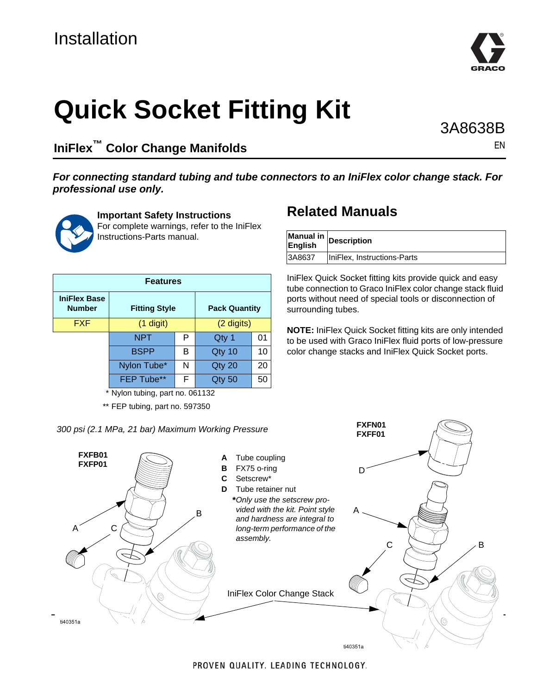# Installation



**IniFlex™ Color Change Manifolds**

#### *For connecting standard tubing and tube connectors to an IniFlex color change stack. For professional use only.*



A

ti40351a

**Important Safety Instructions** For complete warnings, refer to the IniFlex Instructions-Parts manual.

| <b>Features</b>                      |                      |   |                      |    |  |
|--------------------------------------|----------------------|---|----------------------|----|--|
| <b>IniFlex Base</b><br><b>Number</b> | <b>Fitting Style</b> |   | <b>Pack Quantity</b> |    |  |
| <b>FXF</b>                           | $(1$ digit)          |   | (2 digits)           |    |  |
|                                      | <b>NPT</b>           | P | Qty 1                | 01 |  |
|                                      | <b>BSPP</b>          | в | Qty 10               | 10 |  |
|                                      | Nylon Tube*          | N | Qty 20               | 20 |  |
|                                      | FEP Tube**           | F | Qty 50               | 50 |  |

\* Nylon tubing, part no. 061132

\*\* FEP tubing, part no. 597350

*300 psi (2.1 MPa, 21 bar) Maximum Working Pressure*

#### **A** Tube coupling **B** FX75 o-ring **C** Setscrew\* **D** Tube retainer nut **\****Only use the setscrew provided with the kit. Point style and hardness are integral to long-term performance of the assembly.* **FXFB01 FXFP01 FXFN01 FXFF01** B C A  $C \searrow \rightarrow \rightarrow B$ D IniFlex Color Change Stack

## **Related Manuals**

| Manual in<br>English | <b>Description</b>          |
|----------------------|-----------------------------|
| 3A8637               | IniFlex, Instructions-Parts |

IniFlex Quick Socket fitting kits provide quick and easy tube connection to Graco IniFlex color change stack fluid ports without need of special tools or disconnection of surrounding tubes.

**NOTE:** IniFlex Quick Socket fitting kits are only intended to be used with Graco IniFlex fluid ports of low-pressure color change stacks and IniFlex Quick Socket ports.

ti40351a



PROVEN QUALITY. LEADING TECHNOLOGY.